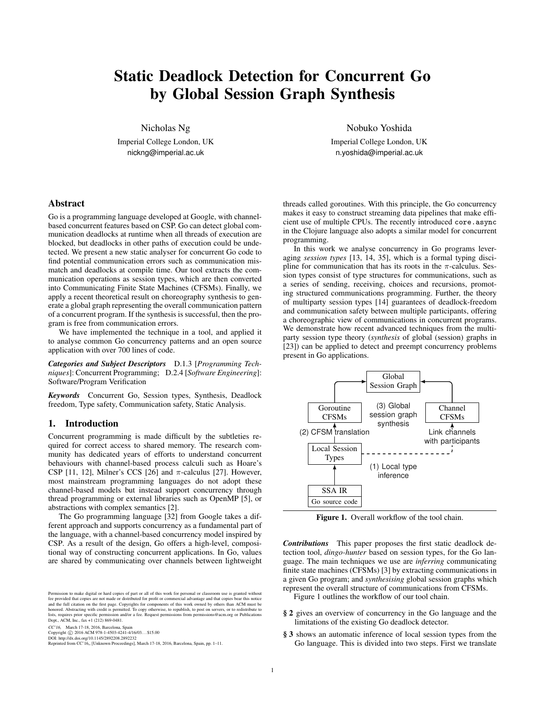# Static Deadlock Detection for Concurrent Go by Global Session Graph Synthesis

Nicholas Ng

Imperial College London, UK nickng@imperial.ac.uk

## Abstract

Go is a programming language developed at Google, with channelbased concurrent features based on CSP. Go can detect global communication deadlocks at runtime when all threads of execution are blocked, but deadlocks in other paths of execution could be undetected. We present a new static analyser for concurrent Go code to find potential communication errors such as communication mismatch and deadlocks at compile time. Our tool extracts the communication operations as session types, which are then converted into Communicating Finite State Machines (CFSMs). Finally, we apply a recent theoretical result on choreography synthesis to generate a global graph representing the overall communication pattern of a concurrent program. If the synthesis is successful, then the program is free from communication errors.

We have implemented the technique in a tool, and applied it to analyse common Go concurrency patterns and an open source application with over 700 lines of code.

*Categories and Subject Descriptors* D.1.3 [*Programming Techniques*]: Concurrent Programming; D.2.4 [*Software Engineering*]: Software/Program Verification

*Keywords* Concurrent Go, Session types, Synthesis, Deadlock freedom, Type safety, Communication safety, Static Analysis.

# 1. Introduction

Concurrent programming is made difficult by the subtleties required for correct access to shared memory. The research community has dedicated years of efforts to understand concurrent behaviours with channel-based process calculi such as Hoare's CSP [\[11,](#page-9-0) [12\]](#page-9-1), Milner's CCS [\[26\]](#page-9-2) and  $\pi$ -calculus [\[27\]](#page-9-3). However, most mainstream programming languages do not adopt these channel-based models but instead support concurrency through thread programming or external libraries such as OpenMP [\[5\]](#page-9-4), or abstractions with complex semantics [\[2\]](#page-9-5).

The Go programming language [\[32\]](#page-10-0) from Google takes a different approach and supports concurrency as a fundamental part of the language, with a channel-based concurrency model inspired by CSP. As a result of the design, Go offers a high-level, compositional way of constructing concurrent applications. In Go, values are shared by communicating over channels between lightweight

Permission to make digital or hard copies of part or all of this work for personal or classroom use is granted without<br>fee provided that copies are not made or distributed for profit or commercial advantage and that copies

CC'16, March 17-18, 2016, Barcelona, Spain<br>Copyright © 2016 ACM 978-1-4503-4241-4/16/03...\$15.00

DOI: http://dx.doi.org/10.1145/2892208.2892232 Reprinted from CC'16" [Unknown Proceedings], March 17-18, 2016, Barcelona, Spain, pp. 1[–11.](#page-11-0)

Nobuko Yoshida

Imperial College London, UK n.yoshida@imperial.ac.uk

threads called goroutines. With this principle, the Go concurrency makes it easy to construct streaming data pipelines that make efficient use of multiple CPUs. The recently introduced core.async in the Clojure language also adopts a similar model for concurrent programming.

In this work we analyse concurrency in Go programs leveraging *session types* [\[13,](#page-9-6) [14,](#page-9-7) [35\]](#page-10-1), which is a formal typing discipline for communication that has its roots in the  $\pi$ -calculus. Session types consist of type structures for communications, such as a series of sending, receiving, choices and recursions, promoting structured communications programming. Further, the theory of multiparty session types [\[14\]](#page-9-7) guarantees of deadlock-freedom and communication safety between multiple participants, offering a choreographic view of communications in concurrent programs. We demonstrate how recent advanced techniques from the multiparty session type theory (*synthesis* of global (session) graphs in [\[23\]](#page-9-8)) can be applied to detect and preempt concurrency problems present in Go applications.



<span id="page-0-0"></span>Figure 1. Overall workflow of the tool chain.

*Contributions* This paper proposes the first static deadlock detection tool, *dingo-hunter* based on session types, for the Go language. The main techniques we use are *inferring* communicating finite state machines (CFSMs) [\[3\]](#page-9-9) by extracting communications in a given Go program; and *synthesising* global session graphs which represent the overall structure of communications from CFSMs.

Figure [1](#page-0-0) outlines the workflow of our tool chain.

- § [2](#page-1-0) gives an overview of concurrency in the Go language and the limitations of the existing Go deadlock detector.
- § [3](#page-2-0) shows an automatic inference of local session types from the Go language. This is divided into two steps. First we translate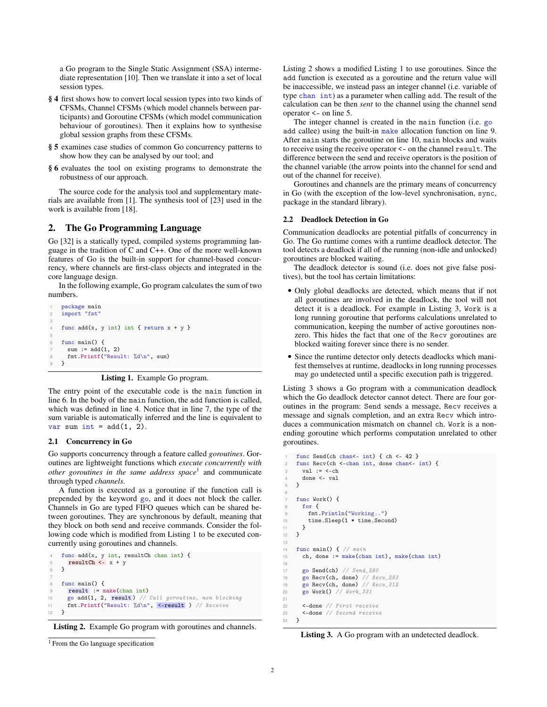a Go program to the Single Static Assignment (SSA) intermediate representation [\[10\]](#page-9-10). Then we translate it into a set of local session types.

- § [4](#page-5-0) first shows how to convert local session types into two kinds of CFSMs, Channel CFSMs (which model channels between participants) and Goroutine CFSMs (which model communication behaviour of goroutines). Then it explains how to synthesise global session graphs from these CFSMs.
- § [5](#page-6-0) examines case studies of common Go concurrency patterns to show how they can be analysed by our tool; and
- § [6](#page-8-0) evaluates the tool on existing programs to demonstrate the robustness of our approach.

The source code for the analysis tool and supplementary materials are available from [\[1\]](#page-9-11). The synthesis tool of [\[23\]](#page-9-8) used in the work is available from [\[18\]](#page-9-12).

# <span id="page-1-0"></span>2. The Go Programming Language

Go [\[32\]](#page-10-0) is a statically typed, compiled systems programming language in the tradition of C and C++. One of the more well-known features of Go is the built-in support for channel-based concurrency, where channels are first-class objects and integrated in the core language design.

In the following example, Go program calculates the sum of two numbers.

```
package main
   import "fmt"
3
   func add(x, y int) int { return x + y }
5
   func main() {
     sum := add(1, 2)8 fmt.Printf("Result: %d\n", sum)
9 }
```
# Listing 1. Example Go program.

The entry point of the executable code is the main function in line [6.](#page-1-1) In the body of the main function, the add function is called, which was defined in line [4.](#page-1-2) Notice that in line [7,](#page-1-3) the type of the sum variable is automatically inferred and the line is equivalent to var sum int =  $add(1, 2)$ .

## 2.1 Concurrency in Go

Go supports concurrency through a feature called *goroutines*. Goroutines are lightweight functions which *execute concurrently with other goroutines in the same address space*[1](#page-1-4) and communicate through typed *channels*.

A function is executed as a goroutine if the function call is prepended by the keyword go, and it does not block the caller. Channels in Go are typed FIFO queues which can be shared between goroutines. They are synchronous by default, meaning that they block on both send and receive commands. Consider the following code which is modified from Listing [1](#page-1-5) to be executed concurrently using goroutines and channels.

```
func add(x, y int, resultCh chan int) {
       resultCh \leftarrow x + y6 }
     func main() {
9 result := make(chan int)<br>10 go add(1, 2, result) //
       go add(1, 2, result) // Call goroutine, non blocking
11 fmt.Printf("Result: \lambda \d^n, <-result ) // Receive
12 }
```
<span id="page-1-9"></span>Listing 2. Example Go program with goroutines and channels.

```
<sup>1</sup> From the Go language specification
```
Listing [2](#page-1-6) shows a modified Listing [1](#page-1-5) to use goroutines. Since the add function is executed as a goroutine and the return value will be inaccessible, we instead pass an integer channel (i.e. variable of type chan int) as a parameter when calling add. The result of the calculation can be then *sent* to the channel using the channel send operator <- on line [5.](#page-1-7)

The integer channel is created in the main function (i.e. go add callee) using the built-in make allocation function on line [9.](#page-1-8) After main starts the goroutine on line [10,](#page-1-9) main blocks and waits to receive using the receive operator <- on the channel result. The difference between the send and receive operators is the position of the channel variable (the arrow points into the channel for send and out of the channel for receive).

Goroutines and channels are the primary means of concurrency in Go (with the exception of the low-level synchronisation, sync, package in the standard library).

# 2.2 Deadlock Detection in Go

Communication deadlocks are potential pitfalls of concurrency in Go. The Go runtime comes with a runtime deadlock detector. The tool detects a deadlock if all of the running (non-idle and unlocked) goroutines are blocked waiting.

The deadlock detector is sound (i.e. does not give false positives), but the tool has certain limitations:

- Only global deadlocks are detected, which means that if not all goroutines are involved in the deadlock, the tool will not detect it is a deadlock. For example in Listing [3,](#page-1-10) Work is a long running goroutine that performs calculations unrelated to communication, keeping the number of active goroutines nonzero. This hides the fact that one of the Recv goroutines are blocked waiting forever since there is no sender.
- Since the runtime detector only detects deadlocks which manifest themselves at runtime, deadlocks in long running processes may go undetected until a specific execution path is triggered.

Listing [3](#page-1-10) shows a Go program with a communication deadlock which the Go deadlock detector cannot detect. There are four goroutines in the program: Send sends a message, Recv receives a message and signals completion, and an extra Recv which introduces a communication mismatch on channel ch. Work is a nonending goroutine which performs computation unrelated to other goroutines.

```
func Send(ch chan<- int) { ch <- 42 }
     func Recv(ch <- chan int, done chan<- int) {
       val := <-chdone <- val
     \mathbf{r}func Work() {
       for {
          fmt.Println("Working..")
10 time.Sleep(1 * time.Second)<br>11 }
\begin{matrix} 11 & 3 \\ 12 & 3 \end{matrix}\mathcal{F}14 func main() \frac{1}{4} // main
15 ch, done := make(chan int), make(chan int)
17 go Send(ch) // Send_280<br>18 go Recv(ch, done) // Re
18 go Recv(ch, done) // Recv_293<br>19 go Recv(ch, done) // Recv_312go Recv(ch, done) // Recv<sub>-</sub>312
20 go Work() // Work_331
22 <-done // First receive
23 \leftarrow -done // Second receive
     \mathcal{F}
```
Listing 3. A Go program with an undetected deadlock.

13

16

<span id="page-1-12"></span><span id="page-1-11"></span>21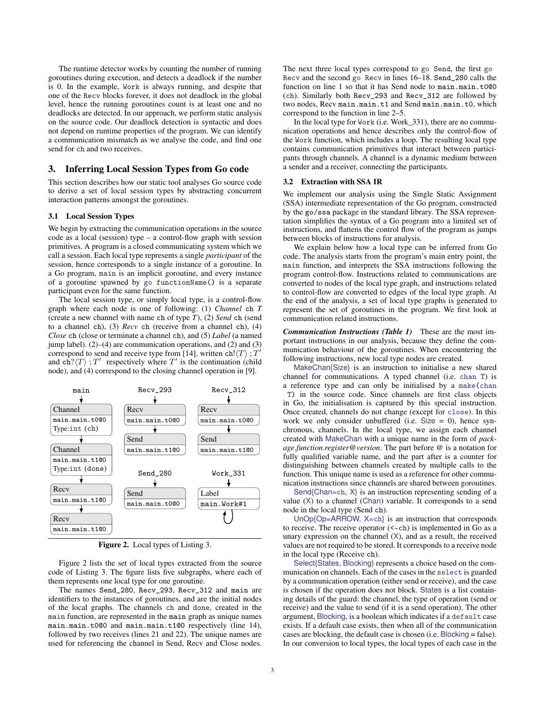The runtime detector works by counting the number of running goroutines during execution, and detects a deadlock if the number is 0. In the example, Work is always running, and despite that one of the Recv blocks forever, it does not deadlock in the global level, hence the running goroutines count is at least one and no deadlocks are detected. In our approach, we perform static analysis on the source code. Our deadlock detection is syntactic and does not depend on runtime properties of the program. We can identify a communication mismatch as we analyse the code, and find one send for ch and two receives.

# <span id="page-2-0"></span>3. Inferring Local Session Types from Go code

This section describes how our static tool analyses Go source code to derive a set of local session types by abstracting concurrent interaction patterns amongst the goroutines.

### 3.1 Local Session Types

We begin by extracting the communication operations in the source code as a local (session) type – a control-flow graph with session primitives. A program is a closed communicating system which we call a session. Each local type represents a single *participant* of the session, hence corresponds to a single instance of a goroutine. In a Go program, main is an implicit goroutine, and every instance of a goroutine spawned by go functionName() is a separate participant even for the same function.

The local session type, or simply local type, is a control-flow graph where each node is one of following: (1) *Channel* ch *T* (create a new channel with name ch of type *T*), (2) *Send* ch (send to a channel ch), (3) *Recv* ch (receive from a channel ch), (4) *Close* ch (close or terminate a channel ch), and (5) *Label* (a named jump label). (2)–(4) are communication operations, and (2) and (3) correspond to send and receive type from [\[14\]](#page-9-7), written ch! $\langle T \rangle$ ; T' and  $ch^2(T)$ ; T' respectively where T' is the continuation (child node), and (4) correspond to the closing channel operation in [\[9\]](#page-9-13).



<span id="page-2-1"></span>Figure 2. Local types of Listing [3.](#page-1-10)

Figure [2](#page-2-1) lists the set of local types extracted from the source code of Listing [3.](#page-1-10) The figure lists five subgraphs, where each of them represents one local type for one goroutine.

The names Send\_280, Recv\_293, Recv\_312 and main are identifiers to the instances of goroutines, and are the initial nodes of the local graphs. The channels ch and done, created in the main function, are represented in the main graph as unique names main.main.t0@0 and main.main.t1@0 respectively (line 14), followed by two receives (lines 21 and 22). The unique names are used for referencing the channel in Send, Recv and Close nodes.

The next three local types correspond to go Send, the first go Recv and the second go Recv in lines 16–18. Send\_280 calls the function on line 1 so that it has Send node to main.main.t000 (ch). Similarly both Recv\_293 and Recv\_312 are followed by two nodes, Recv main.main.t1 and Send main.main.t0, which correspond to the function in line 2–5.

In the local type for Work (i.e. Work\_331), there are no communication operations and hence describes only the control-flow of the Work function, which includes a loop. The resulting local type contains communication primitives that interact between participants through channels. A channel is a dynamic medium between a sender and a receiver, connecting the participants.

## 3.2 Extraction with SSA IR

We implement our analysis using the Single Static Assignment (SSA) intermediate representation of the Go program, constructed by the go/ssa package in the standard library. The SSA representation simplifies the syntax of a Go program into a limited set of instructions, and flattens the control flow of the program as jumps between blocks of instructions for analysis.

We explain below how a local type can be inferred from Go code. The analysis starts from the program's main entry point, the main function, and interprets the SSA instructions following the program control-flow. Instructions related to communications are converted to nodes of the local type graph, and instructions related to control-flow are converted to edges of the local type graph. At the end of the analysis, a set of local type graphs is generated to represent the set of goroutines in the program. We first look at communication related instructions.

*Communication Instructions (Table [1\)](#page-3-0)* These are the most important instructions in our analysis, because they define the communication behaviour of the goroutines. When encountering the following instructions, new local type nodes are created.

MakeChan{Size} is an instruction to initialise a new shared channel for communications. A typed channel (i.e. chan T) is a reference type and can only be initialised by a make(chan T) in the source code. Since channels are first class objects in Go, the initialisation is captured by this special instruction. Once created, channels do not change (except for close). In this work we only consider unbuffered (i.e.  $Size = 0$ ), hence synchronous, channels. In the local type, we assign each channel created with MakeChan with a unique name in the form of *package*.*function*.*register*@*version*. The part before @ is a notation for fully qualified variable name, and the part after is a counter for distinguishing between channels created by multiple calls to the function. This unique name is used as a reference for other communication instructions since channels are shared between goroutines.

Send{Chan=ch,  $X$ } is an instruction representing sending of a value (X) to a channel (Chan) variable. It corresponds to a send node in the local type (Send ch).

UnOp{Op=ARROW, X=ch} is an instruction that corresponds to receive. The receive operator  $(<-*ch*)$  is implemented in Go as a unary expression on the channel  $(X)$ , and as a result, the received values are not required to be stored. It corresponds to a receive node in the local type (Receive ch).

Select{States, Blocking} represents a choice based on the communication on channels. Each of the cases in the select is guarded by a communication operation (either send or receive), and the case is chosen if the operation does not block. States is a list containing details of the guard: the channel, the type of operation (send or receive) and the value to send (if it is a send operation). The other argument, Blocking, is a boolean which indicates if a default case exists. If a default case exists, then when all of the communication cases are blocking, the default case is chosen (i.e. Blocking = false). In our conversion to local types, the local types of each case in the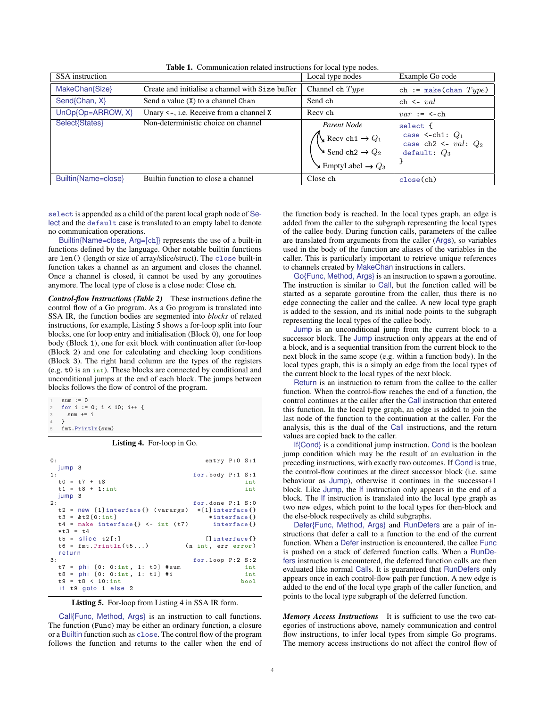| <b>SSA</b> instruction |                                                  | Local type nodes                                                                                                                              | Example Go code                                                           |
|------------------------|--------------------------------------------------|-----------------------------------------------------------------------------------------------------------------------------------------------|---------------------------------------------------------------------------|
| MakeChan{Size}         | Create and initialise a channel with Size buffer | Channel ch $Type$                                                                                                                             | ch := make(chan $Type$ )                                                  |
| Send{Chan, X}          | Send a value (X) to a channel Chan               | Send ch                                                                                                                                       | $ch \leftarrow val$                                                       |
| $UnOp{Op=ARROW, X}$    | Unary $\le$ -, i.e. Receive from a channel X     | Recy ch                                                                                                                                       | $var := \leftarrow$ ch                                                    |
| Select{States}         | Non-deterministic choice on channel              | Parent Node<br>$\bigvee$ Recv ch1 $\rightarrow$ $Q_1$<br>$\searrow$ Send ch2 $\rightarrow$ $Q_2$<br>$\searrow$ EmptyLabel $\rightarrow$ $Q_3$ | select {<br>case <-ch1: $Q_1$<br>case ch2 <- $val: Q_2$<br>default: $Q_3$ |
| Builtin{Name=close}    | Builtin function to close a channel              | Close ch                                                                                                                                      | close(ch)                                                                 |

<span id="page-3-0"></span>Table 1. Communication related instructions for local type nodes.

select is appended as a child of the parent local graph node of Select and the default case is translated to an empty label to denote no communication operations.

Builtin{Name=close, Arg=[ch]} represents the use of a built-in functions defined by the language. Other notable builtin functions are len() (length or size of array/slice/struct). The close built-in function takes a channel as an argument and closes the channel. Once a channel is closed, it cannot be used by any goroutines anymore. The local type of close is a close node: Close ch.

*Control-flow Instructions (Table [2\)](#page-4-0)* These instructions define the control flow of a Go program. As a Go program is translated into SSA IR, the function bodies are segmented into *blocks* of related instructions, for example, Listing [5](#page-3-1) shows a for-loop split into four blocks, one for loop entry and initialisation (Block 0), one for loop body (Block 1), one for exit block with continuation after for-loop (Block 2) and one for calculating and checking loop conditions (Block 3). The right hand column are the types of the registers (e.g. t0 is an int). These blocks are connected by conditional and unconditional jumps at the end of each block. The jumps between blocks follows the flow of control of the program.

```
sum := 0for i := 0; i < 10; i+1sum + = i\overline{\phantom{a}3}fmt.Println(sum)
```
Listing 4. For-loop in Go.

<span id="page-3-1"></span>

| 0:                                                          | entry $P:0 S:1$     |
|-------------------------------------------------------------|---------------------|
| jump 3                                                      |                     |
| 1:                                                          | for.body $P:1 S:1$  |
| $t0 = t7 + t8$                                              | int                 |
| $t1 = t8 + 1:int$                                           | int                 |
| jump <sub>3</sub>                                           |                     |
| 2:                                                          | for.done P:1 S:0    |
| $t2$ = new [1] interface { } (varargs) $*[1]$ interface { } |                     |
| $t3 = \& t2[0:int]$                                         | *interface{}        |
| $t4 = make interface {\} < - int (t7)$ interface $\}$       |                     |
| $*t3 = t4$                                                  |                     |
| $t5 =$ slice $t2[:]$                                        | $[]$ interface $[]$ |
| $t6 = fmt \cdot \text{Println}(t5)$                         | (n int, err error)  |
| return                                                      |                     |
| 3:                                                          | for. loop P:2 S:2   |
| $t7 = phi [0: 0:int, 1: t0] # sum$                          | int                 |
| $t8 = phi [0: 0:int, 1: t1] #i$                             | int                 |
| $t9 = t8 < 10:int$                                          | bool                |
| if t9 goto 1 else 2                                         |                     |

Listing 5. For-loop from Listing [4](#page-3-2) in SSA IR form.

Call{Func, Method, Args} is an instruction to call functions. The function (Func) may be either an ordinary function, a closure or a Builtin function such as close. The control flow of the program follows the function and returns to the caller when the end of the function body is reached. In the local types graph, an edge is added from the caller to the subgraph representing the local types of the callee body. During function calls, parameters of the callee are translated from arguments from the caller (Args), so variables used in the body of the function are aliases of the variables in the caller. This is particularly important to retrieve unique references to channels created by MakeChan instructions in callers.

Go{Func, Method, Args} is an instruction to spawn a goroutine. The instruction is similar to Call, but the function called will be started as a separate goroutine from the caller, thus there is no edge connecting the caller and the callee. A new local type graph is added to the session, and its initial node points to the subgraph representing the local types of the callee body.

Jump is an unconditional jump from the current block to a successor block. The Jump instruction only appears at the end of a block, and is a sequential transition from the current block to the next block in the same scope (e.g. within a function body). In the local types graph, this is a simply an edge from the local types of the current block to the local types of the next block.

Return is an instruction to return from the callee to the caller function. When the control-flow reaches the end of a function, the control continues at the caller after the Call instruction that entered this function. In the local type graph, an edge is added to join the last node of the function to the continuation at the caller. For the analysis, this is the dual of the Call instructions, and the return values are copied back to the caller.

If{Cond} is a conditional jump instruction. Cond is the boolean jump condition which may be the result of an evaluation in the preceding instructions, with exactly two outcomes. If Cond is true, the control-flow continues at the direct successor block (i.e. same behaviour as Jump), otherwise it continues in the successor+1 block. Like Jump, the If instruction only appears in the end of a block. The If instruction is translated into the local type graph as two new edges, which point to the local types for then-block and the else-block respectively as child subgraphs.

Defer{Func, Method, Args} and RunDefers are a pair of instructions that defer a call to a function to the end of the current function. When a Defer instruction is encountered, the callee Func is pushed on a stack of deferred function calls. When a RunDefers instruction is encountered, the deferred function calls are then evaluated like normal Calls. It is guaranteed that RunDefers only appears once in each control-flow path per function. A new edge is added to the end of the local type graph of the caller function, and points to the local type subgraph of the deferred function.

*Memory Access Instructions* It is sufficient to use the two categories of instructions above, namely communication and control flow instructions, to infer local types from simple Go programs. The memory access instructions do not affect the control flow of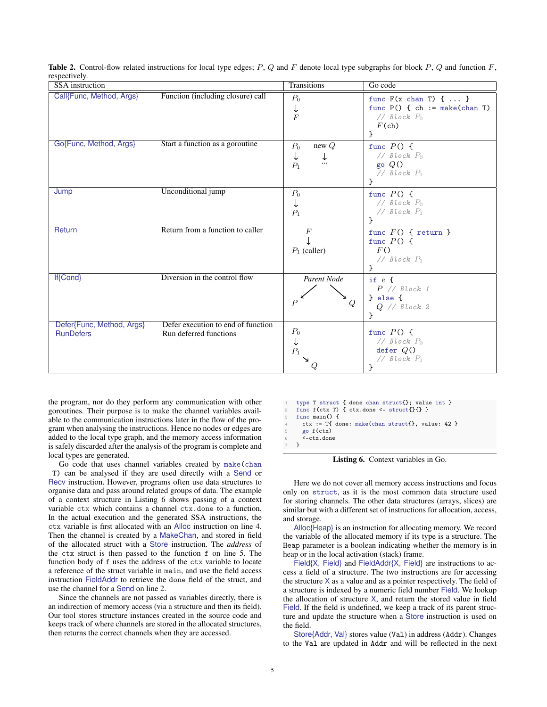| <b>SSA</b> instruction                        |                                                              | <b>Transitions</b>                               | Go code                                                                                                             |
|-----------------------------------------------|--------------------------------------------------------------|--------------------------------------------------|---------------------------------------------------------------------------------------------------------------------|
| Call{Func, Method, Args}                      | Function (including closure) call                            | $P_0$<br>↓<br>$\overline{F}$                     | func $F(x \text{ chan } T) \{ \dots \}$<br>func $P()$ { ch := make(chan T)<br>// $Block P_0$<br>$F(\text{ch})$<br>} |
| Go{Func, Method, Args}                        | Start a function as a goroutine                              | $P_0$<br>new $Q$<br>↓<br>↓<br>$\ldots$<br>$P_1$  | func $P() \{$<br>// $Block$ $P_0$<br>go $Q()$<br>// $Block$ $P_1$                                                   |
| Jump                                          | Unconditional jump                                           | $P_0$<br>↓<br>$P_1$                              | func $P() \{$<br>// $Block P_0$<br>$// Block P_1$<br>}                                                              |
| Return                                        | Return from a function to caller                             | $\boldsymbol{F}$<br>$P_1$ (caller)               | func $F() \{ return \}$<br>func $P() \{$<br>F()<br>// $Block$ $P_1$<br>ł                                            |
| <b>If{Cond}</b>                               | Diversion in the control flow                                | Parent Node<br>$\boldsymbol{P}$<br>$\mathcal{Q}$ | if $e \leftarrow$<br>$P$ // Block 1<br>$\}$ else {<br>$Q$ // Block 2<br>ŀ                                           |
| Defer{Func, Method, Args}<br><b>RunDefers</b> | Defer execution to end of function<br>Run deferred functions | $\mathcal{P}_0$<br>↓<br>$P_1$                    | func $P() \{$<br>// $Block P_0$<br>defer $Q()$<br>// $Block$ $P_1$<br>}                                             |

<span id="page-4-0"></span>**Table 2.** Control-flow related instructions for local type edges;  $P$ ,  $Q$  and  $F$  denote local type subgraphs for block  $P$ ,  $Q$  and function  $F$ , respectively.

the program, nor do they perform any communication with other goroutines. Their purpose is to make the channel variables available to the communication instructions later in the flow of the program when analysing the instructions. Hence no nodes or edges are added to the local type graph, and the memory access information is safely discarded after the analysis of the program is complete and local types are generated.

Go code that uses channel variables created by make(chan T) can be analysed if they are used directly with a Send or Recv instruction. However, programs often use data structures to organise data and pass around related groups of data. The example of a context structure in Listing [6](#page-4-1) shows passing of a context variable ctx which contains a channel ctx.done to a function. In the actual execution and the generated SSA instructions, the ctx variable is first allocated with an Alloc instruction on line [4.](#page-4-2) Then the channel is created by a MakeChan, and stored in field of the allocated struct with a Store instruction. The *address* of the ctx struct is then passed to the function f on line [5.](#page-4-3) The function body of f uses the address of the ctx variable to locate a reference of the struct variable in main, and use the field access instruction FieldAddr to retrieve the done field of the struct, and use the channel for a Send on line [2.](#page-4-4)

Since the channels are not passed as variables directly, there is an indirection of memory access (via a structure and then its field). Our tool stores structure instances created in the source code and keeps track of where channels are stored in the allocated structures, then returns the correct channels when they are accessed.

```
type T struct { done chan struct{}; value int }
func f(\text{ctx T}) { \text{ctx.done} \leftarrow \text{struct}\{\}\} }
func main() {
  4 ctx := T{ done: make(chan struct{}, value: 42 }
  5 go f(ctx)
   6 <-ctx.done
7 }
```
Listing 6. Context variables in Go.

Here we do not cover all memory access instructions and focus only on struct, as it is the most common data structure used for storing channels. The other data structures (arrays, slices) are similar but with a different set of instructions for allocation, access, and storage.

Alloc{Heap} is an instruction for allocating memory. We record the variable of the allocated memory if its type is a structure. The Heap parameter is a boolean indicating whether the memory is in heap or in the local activation (stack) frame.

Field{X, Field} and FieldAddr{X, Field} are instructions to access a field of a structure. The two instructions are for accessing the structure  $X$  as a value and as a pointer respectively. The field of a structure is indexed by a numeric field number Field. We lookup the allocation of structure X, and return the stored value in field Field. If the field is undefined, we keep a track of its parent structure and update the structure when a Store instruction is used on the field.

Store{Addr, Val} stores value (Val) in address (Addr). Changes to the Val are updated in Addr and will be reflected in the next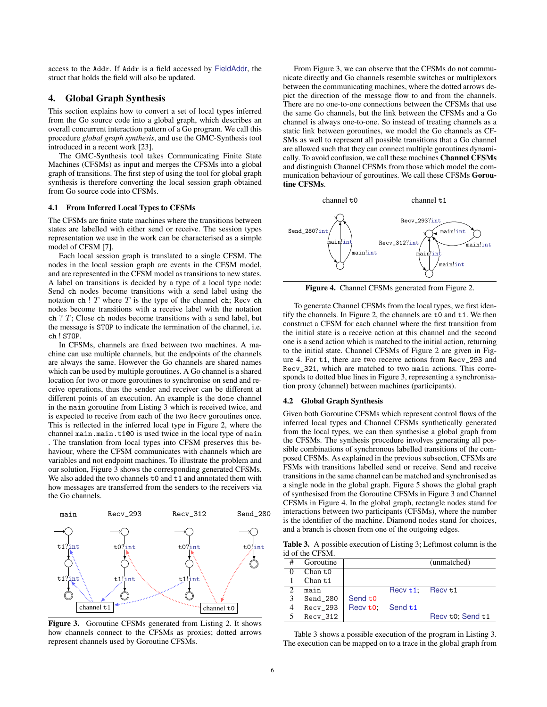access to the Addr. If Addr is a field accessed by FieldAddr, the struct that holds the field will also be updated.

# <span id="page-5-0"></span>4. Global Graph Synthesis

This section explains how to convert a set of local types inferred from the Go source code into a global graph, which describes an overall concurrent interaction pattern of a Go program. We call this procedure *global graph synthesis*, and use the GMC-Synthesis tool introduced in a recent work [\[23\]](#page-9-8).

The GMC-Synthesis tool takes Communicating Finite State Machines (CFSMs) as input and merges the CFSMs into a global graph of transitions. The first step of using the tool for global graph synthesis is therefore converting the local session graph obtained from Go source code into CFSMs.

#### 4.1 From Inferred Local Types to CFSMs

The CFSMs are finite state machines where the transitions between states are labelled with either send or receive. The session types representation we use in the work can be characterised as a simple model of CFSM [\[7\]](#page-9-14).

Each local session graph is translated to a single CFSM. The nodes in the local session graph are events in the CFSM model, and are represented in the CFSM model as transitions to new states. A label on transitions is decided by a type of a local type node: Send ch nodes become transitions with a send label using the notation ch !  $T$  where  $T$  is the type of the channel ch; Recv ch nodes become transitions with a receive label with the notation ch ? T; Close ch nodes become transitions with a send label, but the message is STOP to indicate the termination of the channel, i.e. ch ! STOP.

In CFSMs, channels are fixed between two machines. A machine can use multiple channels, but the endpoints of the channels are always the same. However the Go channels are shared names which can be used by multiple goroutines. A Go channel is a shared location for two or more goroutines to synchronise on send and receive operations, thus the sender and receiver can be different at different points of an execution. An example is the done channel in the main goroutine from Listing [3](#page-1-10) which is received twice, and is expected to receive from each of the two Recv goroutines once. This is reflected in the inferred local type in Figure [2,](#page-2-1) where the channel main.main.t1 $@0$  is used twice in the local type of main . The translation from local types into CFSM preserves this behaviour, where the CFSM communicates with channels which are variables and not endpoint machines. To illustrate the problem and our solution, Figure [3](#page-5-1) shows the corresponding generated CFSMs. We also added the two channels t0 and t1 and annotated them with how messages are transferred from the senders to the receivers via the Go channels.



<span id="page-5-1"></span>Figure 3. Goroutine CFSMs generated from Listing [2.](#page-2-1) It shows how channels connect to the CFSMs as proxies; dotted arrows represent channels used by Goroutine CFSMs.

From Figure [3,](#page-5-1) we can observe that the CFSMs do not communicate directly and Go channels resemble switches or multiplexors between the communicating machines, where the dotted arrows depict the direction of the message flow to and from the channels. There are no one-to-one connections between the CFSMs that use the same Go channels, but the link between the CFSMs and a Go channel is always one-to-one. So instead of treating channels as a static link between goroutines, we model the Go channels as CF-SMs as well to represent all possible transitions that a Go channel are allowed such that they can connect multiple goroutines dynamically. To avoid confusion, we call these machines Channel CFSMs and distinguish Channel CFSMs from those which model the communication behaviour of goroutines. We call these CFSMs Goroutine CFSMs.



<span id="page-5-2"></span>Figure 4. Channel CFSMs generated from Figure [2.](#page-2-1)

To generate Channel CFSMs from the local types, we first identify the channels. In Figure [2,](#page-2-1) the channels are t0 and t1. We then construct a CFSM for each channel where the first transition from the initial state is a receive action at this channel and the second one is a send action which is matched to the initial action, returning to the initial state. Channel CFSMs of Figure [2](#page-2-1) are given in Figure [4.](#page-5-2) For t1, there are two receive actions from Recv\_293 and Recv\_321, which are matched to two main actions. This corresponds to dotted blue lines in Figure [3,](#page-5-1) representing a synchronisation proxy (channel) between machines (participants).

#### 4.2 Global Graph Synthesis

Given both Goroutine CFSMs which represent control flows of the inferred local types and Channel CFSMs synthetically generated from the local types, we can then synthesise a global graph from the CFSMs. The synthesis procedure involves generating all possible combinations of synchronous labelled transitions of the composed CFSMs. As explained in the previous subsection, CFSMs are FSMs with transitions labelled send or receive. Send and receive transitions in the same channel can be matched and synchronised as a single node in the global graph. Figure [5](#page-6-1) shows the global graph of synthesised from the Goroutine CFSMs in Figure [3](#page-5-1) and Channel CFSMs in Figure [4.](#page-5-2) In the global graph, rectangle nodes stand for interactions between two participants (CFSMs), where the number is the identifier of the machine. Diamond nodes stand for choices, and a branch is chosen from one of the outgoing edges.

<span id="page-5-3"></span>Table 3. A possible execution of Listing [3;](#page-1-10) Leftmost column is the id of the CFSM.

| #             | Goroutine           |                     |                     | (unmatched)      |  |
|---------------|---------------------|---------------------|---------------------|------------------|--|
|               | Chan t <sub>0</sub> |                     |                     |                  |  |
|               | Chan t1             |                     |                     |                  |  |
| $\mathcal{L}$ | main                |                     | $Recv t1$ ; Recv t1 |                  |  |
| 3             | Send 280            | Send t <sub>0</sub> |                     |                  |  |
| 4             | $Recv_293$          | Recv to: Send t1    |                     |                  |  |
|               | $Recv_312$          |                     |                     | Recv t0; Send t1 |  |

Table [3](#page-5-3) shows a possible execution of the program in Listing [3.](#page-1-10) The execution can be mapped on to a trace in the global graph from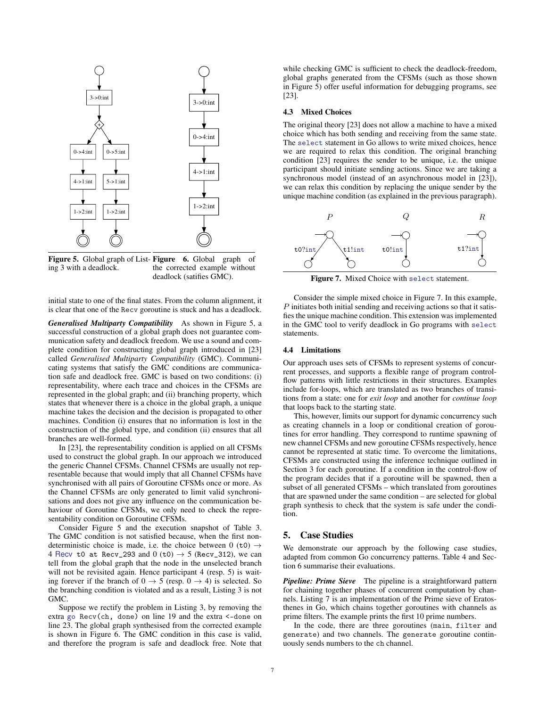

<span id="page-6-1"></span>**Figure 5.** Global graph of List- **Figure** 6. Global graph of ing [3](#page-1-10) with a deadlock. the corrected example without deadlock (satifies GMC).

initial state to one of the final states. From the column alignment, it is clear that one of the Recv goroutine is stuck and has a deadlock.

*Generalised Multiparty Compatibility* As shown in Figure [5,](#page-6-1) a successful construction of a global graph does not guarantee communication safety and deadlock freedom. We use a sound and complete condition for constructing global graph introduced in [\[23\]](#page-9-8) called *Generalised Multiparty Compatibility* (GMC). Communicating systems that satisfy the GMC conditions are communication safe and deadlock free. GMC is based on two conditions: (i) representability, where each trace and choices in the CFSMs are represented in the global graph; and (ii) branching property, which states that whenever there is a choice in the global graph, a unique machine takes the decision and the decision is propagated to other machines. Condition (i) ensures that no information is lost in the construction of the global type, and condition (ii) ensures that all branches are well-formed.

In [\[23\]](#page-9-8), the representability condition is applied on all CFSMs used to construct the global graph. In our approach we introduced the generic Channel CFSMs. Channel CFSMs are usually not representable because that would imply that all Channel CFSMs have synchronised with all pairs of Goroutine CFSMs once or more. As the Channel CFSMs are only generated to limit valid synchronisations and does not give any influence on the communication behaviour of Goroutine CFSMs, we only need to check the representability condition on Goroutine CFSMs.

Consider Figure [5](#page-6-1) and the execution snapshot of Table [3.](#page-5-3) The GMC condition is not satisfied because, when the first nondeterministic choice is made, i.e. the choice between 0 (t0)  $\rightarrow$ 4 Recv t0 at Recv\_293 and 0 (t0)  $\rightarrow$  5 (Recv\_312), we can tell from the global graph that the node in the unselected branch will not be revisited again. Hence participant 4 (resp. 5) is waiting forever if the branch of  $0 \rightarrow 5$  (resp.  $0 \rightarrow 4$ ) is selected. So the branching condition is violated and as a result, Listing [3](#page-1-10) is not GMC.

Suppose we rectify the problem in Listing [3,](#page-1-10) by removing the extra go Recv(ch, done) on line [19](#page-1-11) and the extra <-done on line [23.](#page-1-12) The global graph synthesised from the corrected example is shown in Figure [6.](#page-6-2) The GMC condition in this case is valid, and therefore the program is safe and deadlock free. Note that

while checking GMC is sufficient to check the deadlock-freedom, global graphs generated from the CFSMs (such as those shown in Figure [5\)](#page-6-1) offer useful information for debugging programs, see [\[23\]](#page-9-8).

#### 4.3 Mixed Choices

The original theory [\[23\]](#page-9-8) does not allow a machine to have a mixed choice which has both sending and receiving from the same state. The select statement in Go allows to write mixed choices, hence we are required to relax this condition. The original branching condition [\[23\]](#page-9-8) requires the sender to be unique, i.e. the unique participant should initiate sending actions. Since we are taking a synchronous model (instead of an asynchronous model in [\[23\]](#page-9-8)), we can relax this condition by replacing the unique sender by the unique machine condition (as explained in the previous paragraph).



<span id="page-6-3"></span>Figure 7. Mixed Choice with select statement.

<span id="page-6-2"></span>Consider the simple mixed choice in Figure [7.](#page-6-3) In this example,  $P$  initiates both initial sending and receiving actions so that it satisfies the unique machine condition. This extension was implemented in the GMC tool to verify deadlock in Go programs with select statements.

#### <span id="page-6-4"></span>4.4 Limitations

Our approach uses sets of CFSMs to represent systems of concurrent processes, and supports a flexible range of program controlflow patterns with little restrictions in their structures. Examples include for-loops, which are translated as two branches of transitions from a state: one for *exit loop* and another for *continue loop* that loops back to the starting state.

This, however, limits our support for dynamic concurrency such as creating channels in a loop or conditional creation of goroutines for error handling. They correspond to runtime spawning of new channel CFSMs and new goroutine CFSMs respectively, hence cannot be represented at static time. To overcome the limitations, CFSMs are constructed using the inference technique outlined in Section [3](#page-2-0) for each goroutine. If a condition in the control-flow of the program decides that if a goroutine will be spawned, then a subset of all generated CFSMs – which translated from goroutines that are spawned under the same condition – are selected for global graph synthesis to check that the system is safe under the condition.

# <span id="page-6-0"></span>5. Case Studies

We demonstrate our approach by the following case studies, adapted from common Go concurrency patterns. Table [4](#page-8-1) and Section [6](#page-8-0) summarise their evaluations.

*Pipeline: Prime Sieve* The pipeline is a straightforward pattern for chaining together phases of concurrent computation by channels. Listing [7](#page-7-0) is an implementation of the Prime sieve of Eratosthenes in Go, which chains together goroutines with channels as prime filters. The example prints the first 10 prime numbers.

In the code, there are three goroutines (main, filter and generate) and two channels. The generate goroutine continuously sends numbers to the ch channel.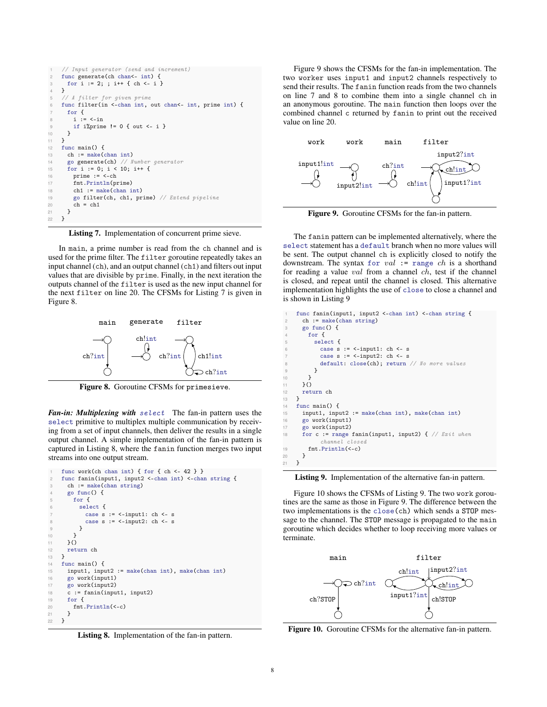```
1 // Input generator (send and increment)<br>2 func generate(ch chan<- int) {
    func generate(ch chan<- int) {
3 for i := 2; ; i++ { ch <- i }
    4 }
5 // A filter for given prime
6 func filter(in <- chan int, out chan<- int, prime int) {
      7 for {
8 i := <-in
9 if i/\!\!/ \text{prime} != 0 { out <- i }
    }<br>}
1112 func main() {
th := make(char int)14 go generate(ch) // Number generator
15 for i := 0; i < 10; i++ {
16 prime := <-ch
17 fmt.Println(prime)<br>18 ch1 := make(chan i
        ch1 := make(char int)19 go filter(ch, ch1, prime) // Extend pipeline
20 ch = ch1
21 }<br>22 }
   \rightarrow
```
<span id="page-7-1"></span>Listing 7. Implementation of concurrent prime sieve.

In main, a prime number is read from the ch channel and is used for the prime filter. The filter goroutine repeatedly takes an input channel (ch), and an output channel (ch1) and filters out input values that are divisible by prime. Finally, in the next iteration the outputs channel of the filter is used as the new input channel for the next filter on line [20.](#page-7-1) The CFSMs for Listing [7](#page-7-0) is given in Figure [8.](#page-7-2)



<span id="page-7-2"></span>Figure 8. Goroutine CFSMs for primesieve.

*Fan-in: Multiplexing with* select The fan-in pattern uses the select primitive to multiplex multiple communication by receiving from a set of input channels, then deliver the results in a single output channel. A simple implementation of the fan-in pattern is captured in Listing [8,](#page-7-3) where the fanin function merges two input streams into one output stream.

```
func work(ch chan int) { for { ch <- 42 } }
   func fanin(input1, input2 <- chan int) <- chan string {
     ch := make(char string)4 go func() {
       for {
         select {
           case s := \le-input1: ch \le- s
8 case s := <-input2: ch <- s
9 }
10 }
     \lambda ()
12 return ch
13 }
14 func main() \{15 input1, input2 := make(chan int), make(chan int)
16 go work(input1)
17 go work(input2)
18 c := \text{fanin}(\text{input1}, \text{ input2})19 for f20 fmt.Println(<-c)21 }
22 }
```
<span id="page-7-7"></span>Listing 8. Implementation of the fan-in pattern.

Figure [9](#page-7-4) shows the CFSMs for the fan-in implementation. The two worker uses input1 and input2 channels respectively to send their results. The fanin function reads from the two channels on line [7](#page-7-5) and [8](#page-7-6) to combine them into a single channel ch in an anonymous goroutine. The main function then loops over the combined channel c returned by fanin to print out the received value on line [20.](#page-7-7)



<span id="page-7-4"></span>Figure 9. Goroutine CFSMs for the fan-in pattern.

The fanin pattern can be implemented alternatively, where the select statement has a default branch when no more values will be sent. The output channel ch is explicitly closed to notify the downstream. The syntax for  $val := \text{range } ch$  is a shorthand for reading a value val from a channel ch, test if the channel is closed, and repeat until the channel is closed. This alternative implementation highlights the use of close to close a channel and is shown in Listing [9](#page-7-8)

```
func fanin(input1, input2 <- chan int) <- chan string {
       ch := make(chan string)
       3 go func() {
         for {
           select {
             case s := <-input1: ch <- s
             case s := \langle -\text{input2}: \text{ch} \langle -\text{s} \rangledefault: close(ch); return // No more values
 9 }
10 }
11 \quad \frac{1}{2}()
12 return ch
\begin{array}{ccc} 13 & & \ \end{array} }
    func main() {
15 input1, input2 := make(chan int), make(chan int)
16 go work(input1)<br>17 go work(input2)
       17 go work(input2)
18 for c := range fanin(input1, input2) { // Exit when
             channel closed
19 fmt.Println(<-c)
20 1
21 }
```
Listing 9. Implementation of the alternative fan-in pattern.

Figure [10](#page-7-9) shows the CFSMs of Listing [9.](#page-7-8) The two work goroutines are the same as those in Figure [9.](#page-7-4) The difference between the two implementations is the close(ch) which sends a STOP message to the channel. The STOP message is propagated to the main goroutine which decides whether to loop receiving more values or terminate.



<span id="page-7-9"></span>Figure 10. Goroutine CFSMs for the alternative fan-in pattern.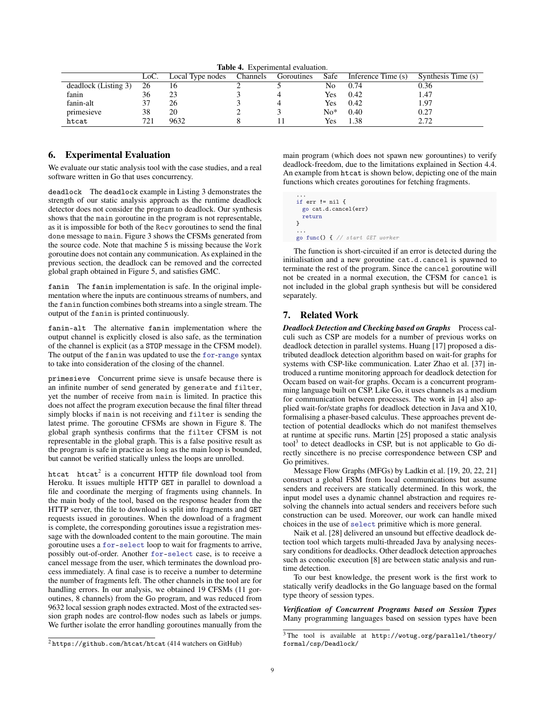<span id="page-8-1"></span>Table 4. Experimental evaluation.

|                      | LoC. | Local Type nodes | Channels | Goroutines | Safe       | Inference Time (s) | Synthesis Time (s) |
|----------------------|------|------------------|----------|------------|------------|--------------------|--------------------|
| deadlock (Listing 3) | 26   |                  |          |            | No         | 0.74               | 0.36               |
| fanin                | 36   | 23               |          |            | Yes        | 0.42               | 1.47               |
| fanin-alt            |      | 26               |          |            | Yes        | 0.42               | 1.97               |
| primesieve           | 38   | 20               |          |            | $No*$      | 0.40               | 0.27               |
| htcat                | 721  | 9632             |          |            | <b>Yes</b> | 1.38               | 2.72               |

# <span id="page-8-0"></span>6. Experimental Evaluation

We evaluate our static analysis tool with the case studies, and a real software written in Go that uses concurrency.

deadlock The deadlock example in Listing [3](#page-1-10) demonstrates the strength of our static analysis approach as the runtime deadlock detector does not consider the program to deadlock. Our synthesis shows that the main goroutine in the program is not representable, as it is impossible for both of the Recv goroutines to send the final done message to main. Figure [3](#page-5-1) shows the CFSMs generated from the source code. Note that machine 5 is missing because the Work goroutine does not contain any communication. As explained in the previous section, the deadlock can be removed and the corrected global graph obtained in Figure [5,](#page-6-1) and satisfies GMC.

fanin The fanin implementation is safe. In the original implementation where the inputs are continuous streams of numbers, and the fanin function combines both streams into a single stream. The output of the fanin is printed continuously.

fanin-alt The alternative fanin implementation where the output channel is explicitly closed is also safe, as the termination of the channel is explicit (as a STOP message in the CFSM model). The output of the fanin was updated to use the for-range syntax to take into consideration of the closing of the channel.

primesieve Concurrent prime sieve is unsafe because there is an infinite number of send generated by generate and filter, yet the number of receive from main is limited. In practice this does not affect the program execution because the final filter thread simply blocks if main is not receiving and filter is sending the latest prime. The goroutine CFSMs are shown in Figure [8.](#page-7-2) The global graph synthesis confirms that the filter CFSM is not representable in the global graph. This is a false positive result as the program is safe in practice as long as the main loop is bounded, but cannot be verified statically unless the loops are unrolled.

htcat  $h$ tcat<sup>[2](#page-8-2)</sup> is a concurrent HTTP file download tool from Heroku. It issues multiple HTTP GET in parallel to download a file and coordinate the merging of fragments using channels. In the main body of the tool, based on the response header from the HTTP server, the file to download is split into fragments and GET requests issued in goroutines. When the download of a fragment is complete, the corresponding goroutines issue a registration message with the downloaded content to the main goroutine. The main goroutine uses a for-select loop to wait for fragments to arrive, possibly out-of-order. Another for-select case, is to receive a cancel message from the user, which terminates the download process immediately. A final case is to receive a number to determine the number of fragments left. The other channels in the tool are for handling errors. In our analysis, we obtained 19 CFSMs (11 goroutines, 8 channels) from the Go program, and was reduced from 9632 local session graph nodes extracted. Most of the extracted session graph nodes are control-flow nodes such as labels or jumps. We further isolate the error handling goroutines manually from the

main program (which does not spawn new gorountines) to verify deadlock-freedom, due to the limitations explained in Section [4.4.](#page-6-4) An example from htcat is shown below, depicting one of the main functions which creates goroutines for fetching fragments.

```
...
if err != nil {
  go cat.d.cancel(err)
  return
}
...
go func() { // start GET worker
```
The function is short-circuited if an error is detected during the initialisation and a new goroutine cat.d.cancel is spawned to terminate the rest of the program. Since the cancel goroutine will not be created in a normal execution, the CFSM for cancel is not included in the global graph synthesis but will be considered separately.

# 7. Related Work

*Deadlock Detection and Checking based on Graphs* Process calculi such as CSP are models for a number of previous works on deadlock detection in parallel systems. Huang [\[17\]](#page-9-15) proposed a distributed deadlock detection algorithm based on wait-for graphs for systems with CSP-like communication. Later Zhao et al. [\[37\]](#page-10-2) introduced a runtime monitoring approach for deadlock detection for Occam based on wait-for graphs. Occam is a concurrent programming language built on CSP. Like Go, it uses channels as a medium for communication between processes. The work in [\[4\]](#page-9-16) also applied wait-for/state graphs for deadlock detection in Java and X10, formalising a phaser-based calculus. These approaches prevent detection of potential deadlocks which do not manifest themselves at runtime at specific runs. Martin [\[25\]](#page-9-17) proposed a static analysis tool<sup>[3](#page-8-3)</sup> to detect deadlocks in CSP, but is not applicable to Go directly sincethere is no precise correspondence between CSP and Go primitives.

Message Flow Graphs (MFGs) by Ladkin et al. [\[19,](#page-9-18) [20,](#page-9-19) [22,](#page-9-20) [21\]](#page-9-21) construct a global FSM from local communications but assume senders and receivers are statically determined. In this work, the input model uses a dynamic channel abstraction and requires resolving the channels into actual senders and receivers before such construction can be used. Moreover, our work can handle mixed choices in the use of select primitive which is more general.

Naik et al. [\[28\]](#page-10-3) delivered an unsound but effective deadlock detection tool which targets multi-threaded Java by analysing necessary conditions for deadlocks. Other deadlock detection approaches such as concolic execution [\[8\]](#page-9-22) are between static analysis and runtime detection.

To our best knowledge, the present work is the first work to statically verify deadlocks in the Go language based on the formal type theory of session types.

*Verification of Concurrent Programs based on Session Types* Many programming languages based on session types have been

<span id="page-8-2"></span><sup>2</sup> <https://github.com/htcat/htcat> (414 watchers on GitHub)

<span id="page-8-3"></span><sup>3</sup> The tool is available at [http://wotug.org/parallel/theory/](http://wotug.org/parallel/theory/formal/csp/Deadlock/) [formal/csp/Deadlock/](http://wotug.org/parallel/theory/formal/csp/Deadlock/)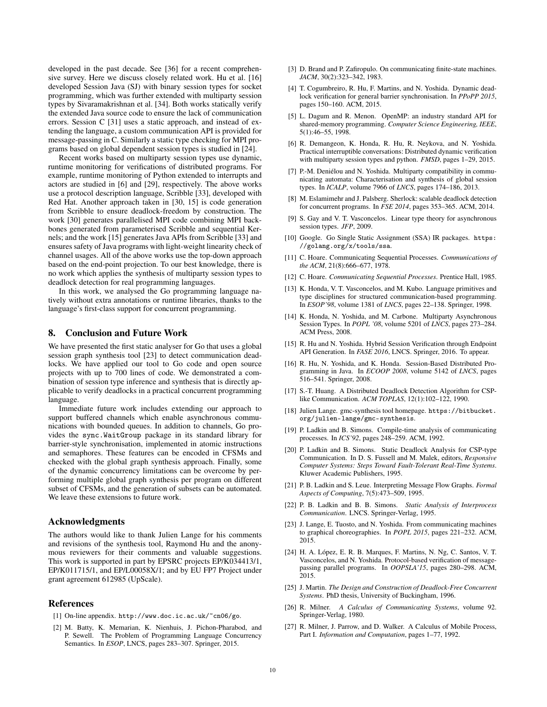developed in the past decade. See [\[36\]](#page-10-4) for a recent comprehensive survey. Here we discuss closely related work. Hu et al. [\[16\]](#page-9-23) developed Session Java (SJ) with binary session types for socket programming, which was further extended with multiparty session types by Sivaramakrishnan et al. [\[34\]](#page-10-5). Both works statically verify the extended Java source code to ensure the lack of communication errors. Session C [\[31\]](#page-10-6) uses a static approach, and instead of extending the language, a custom communication API is provided for message-passing in C. Similarly a static type checking for MPI programs based on global dependent session types is studied in [\[24\]](#page-9-24).

Recent works based on multiparty session types use dynamic, runtime monitoring for verifications of distributed programs. For example, runtime monitoring of Python extended to interrupts and actors are studied in [\[6\]](#page-9-25) and [\[29\]](#page-10-7), respectively. The above works use a protocol description language, Scribble [\[33\]](#page-10-8), developed with Red Hat. Another approach taken in [\[30,](#page-10-9) [15\]](#page-9-26) is code generation from Scribble to ensure deadlock-freedom by construction. The work [\[30\]](#page-10-9) generates parallelised MPI code combining MPI backbones generated from parameterised Scribble and sequential Kernels; and the work [\[15\]](#page-9-26) generates Java APIs from Scribble [\[33\]](#page-10-8) and ensures safety of Java programs with light-weight linearity check of channel usages. All of the above works use the top-down approach based on the end-point projection. To our best knowledge, there is no work which applies the synthesis of multiparty session types to deadlock detection for real programming languages.

In this work, we analysed the Go programming language natively without extra annotations or runtime libraries, thanks to the language's first-class support for concurrent programming.

# 8. Conclusion and Future Work

We have presented the first static analyser for Go that uses a global session graph synthesis tool [\[23\]](#page-9-8) to detect communication deadlocks. We have applied our tool to Go code and open source projects with up to 700 lines of code. We demonstrated a combination of session type inference and synthesis that is directly applicable to verify deadlocks in a practical concurrent programming language.

Immediate future work includes extending our approach to support buffered channels which enable asynchronous communications with bounded queues. In addition to channels, Go provides the sync.WaitGroup package in its standard library for barrier-style synchronisation, implemented in atomic instructions and semaphores. These features can be encoded in CFSMs and checked with the global graph synthesis approach. Finally, some of the dynamic concurrency limitations can be overcome by performing multiple global graph synthesis per program on different subset of CFSMs, and the generation of subsets can be automated. We leave these extensions to future work.

# Acknowledgments

The authors would like to thank Julien Lange for his comments and revisions of the synthesis tool, Raymond Hu and the anonymous reviewers for their comments and valuable suggestions. This work is supported in part by EPSRC projects EP/K034413/1, EP/K011715/1, and EP/L00058X/1; and by EU FP7 Project under grant agreement 612985 (UpScale).

# References

<span id="page-9-11"></span>[1] On-line appendix. <http://www.doc.ic.ac.uk/~cn06/go>.

<span id="page-9-5"></span>[2] M. Batty, K. Memarian, K. Nienhuis, J. Pichon-Pharabod, and P. Sewell. The Problem of Programming Language Concurrency Semantics. In *ESOP*, LNCS, pages 283–307. Springer, 2015.

- <span id="page-9-9"></span>[3] D. Brand and P. Zafiropulo. On communicating finite-state machines. *JACM*, 30(2):323–342, 1983.
- <span id="page-9-16"></span>[4] T. Cogumbreiro, R. Hu, F. Martins, and N. Yoshida. Dynamic deadlock verification for general barrier synchronisation. In *PPoPP 2015*, pages 150–160. ACM, 2015.
- <span id="page-9-4"></span>[5] L. Dagum and R. Menon. OpenMP: an industry standard API for shared-memory programming. *Computer Science Engineering, IEEE*, 5(1):46–55, 1998.
- <span id="page-9-25"></span>[6] R. Demangeon, K. Honda, R. Hu, R. Neykova, and N. Yoshida. Practical interruptible conversations: Distributed dynamic verification with multiparty session types and python. *FMSD*, pages 1–29, 2015.
- <span id="page-9-14"></span>[7] P.-M. Deniélou and N. Yoshida. Multiparty compatibility in communicating automata: Characterisation and synthesis of global session types. In *ICALP*, volume 7966 of *LNCS*, pages 174–186, 2013.
- <span id="page-9-22"></span>[8] M. Eslamimehr and J. Palsberg. Sherlock: scalable deadlock detection for concurrent programs. In *FSE 2014*, pages 353–365. ACM, 2014.
- <span id="page-9-13"></span>[9] S. Gay and V. T. Vasconcelos. Linear type theory for asynchronous session types. *JFP*, 2009.
- <span id="page-9-10"></span>[10] Google. Go Single Static Assignment (SSA) IR packages. [https:](https://golang.org/x/tools/ssa) [//golang.org/x/tools/ssa](https://golang.org/x/tools/ssa).
- <span id="page-9-0"></span>[11] C. Hoare. Communicating Sequential Processes. *Communications of* the ACM, 21(8):666-677, 1978.
- <span id="page-9-1"></span>[12] C. Hoare. *Communicating Sequential Processes*. Prentice Hall, 1985.
- <span id="page-9-6"></span>[13] K. Honda, V. T. Vasconcelos, and M. Kubo. Language primitives and type disciplines for structured communication-based programming. In *ESOP'98*, volume 1381 of *LNCS*, pages 22–138. Springer, 1998.
- <span id="page-9-7"></span>[14] K. Honda, N. Yoshida, and M. Carbone. Multiparty Asynchronous Session Types. In *POPL '08*, volume 5201 of *LNCS*, pages 273–284. ACM Press, 2008.
- <span id="page-9-26"></span>[15] R. Hu and N. Yoshida. Hybrid Session Verification through Endpoint API Generation. In *FASE 2016*, LNCS. Springer, 2016. To appear.
- <span id="page-9-23"></span>[16] R. Hu, N. Yoshida, and K. Honda. Session-Based Distributed Programming in Java. In *ECOOP 2008*, volume 5142 of *LNCS*, pages 516–541. Springer, 2008.
- <span id="page-9-15"></span>[17] S.-T. Huang. A Distributed Deadlock Detection Algorithm for CSPlike Communication. *ACM TOPLAS*, 12(1):102–122, 1990.
- <span id="page-9-12"></span>[18] Julien Lange. gmc-synthesis tool homepage. [https://bitbucket.](https://bitbucket.org/julien-lange/gmc-synthesis) [org/julien-lange/gmc-synthesis](https://bitbucket.org/julien-lange/gmc-synthesis).
- <span id="page-9-18"></span>[19] P. Ladkin and B. Simons. Compile-time analysis of communicating processes. In *ICS'92*, pages 248–259. ACM, 1992.
- <span id="page-9-19"></span>[20] P. Ladkin and B. Simons. Static Deadlock Analysis for CSP-type Communication. In D. S. Fussell and M. Malek, editors, *Responsive Computer Systems: Steps Toward Fault-Tolerant Real-Time Systems*. Kluwer Academic Publishers, 1995.
- <span id="page-9-21"></span>[21] P. B. Ladkin and S. Leue. Interpreting Message Flow Graphs. *Formal Aspects of Computing*, 7(5):473–509, 1995.
- <span id="page-9-20"></span>[22] P. B. Ladkin and B. B. Simons. *Static Analysis of Interprocess Communication*. LNCS. Springer-Verlag, 1995.
- <span id="page-9-8"></span>[23] J. Lange, E. Tuosto, and N. Yoshida. From communicating machines to graphical choreographies. In *POPL 2015*, pages 221–232. ACM, 2015.
- <span id="page-9-24"></span>[24] H. A. López, E. R. B. Marques, F. Martins, N. Ng, C. Santos, V. T. Vasconcelos, and N. Yoshida. Protocol-based verification of messagepassing parallel programs. In *OOPSLA'15*, pages 280–298. ACM, 2015.
- <span id="page-9-17"></span>[25] J. Martin. *The Design and Construction of Deadlock-Free Concurrent Systems*. PhD thesis, University of Buckingham, 1996.
- <span id="page-9-2"></span>[26] R. Milner. *A Calculus of Communicating Systems*, volume 92. Springer-Verlag, 1980.
- <span id="page-9-3"></span>[27] R. Milner, J. Parrow, and D. Walker. A Calculus of Mobile Process, Part I. *Information and Computation*, pages 1–77, 1992.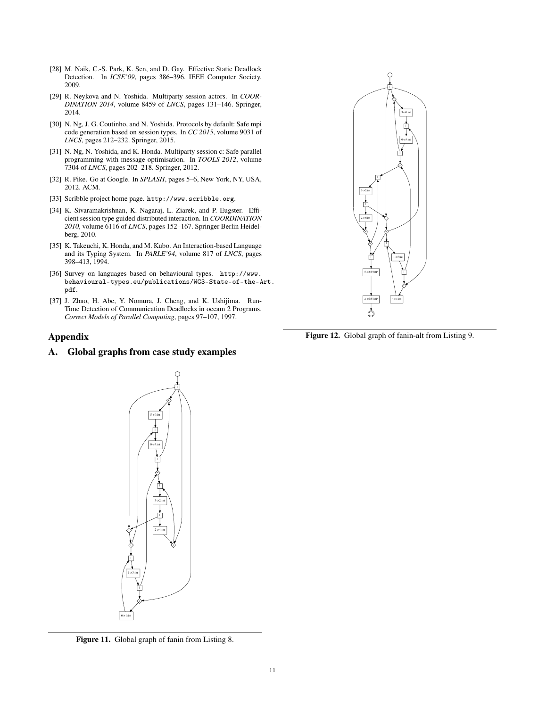- <span id="page-10-3"></span>[28] M. Naik, C.-S. Park, K. Sen, and D. Gay. Effective Static Deadlock Detection. In *ICSE'09*, pages 386–396. IEEE Computer Society, 2009.
- <span id="page-10-7"></span>[29] R. Neykova and N. Yoshida. Multiparty session actors. In *COOR-DINATION 2014*, volume 8459 of *LNCS*, pages 131–146. Springer, 2014.
- <span id="page-10-9"></span>[30] N. Ng, J. G. Coutinho, and N. Yoshida. Protocols by default: Safe mpi code generation based on session types. In *CC 2015*, volume 9031 of *LNCS*, pages 212–232. Springer, 2015.
- <span id="page-10-6"></span>[31] N. Ng, N. Yoshida, and K. Honda. Multiparty session c: Safe parallel programming with message optimisation. In *TOOLS 2012*, volume 7304 of *LNCS*, pages 202–218. Springer, 2012.
- <span id="page-10-0"></span>[32] R. Pike. Go at Google. In *SPLASH*, pages 5–6, New York, NY, USA, 2012. ACM.
- <span id="page-10-8"></span>[33] Scribble project home page. <http://www.scribble.org>.
- <span id="page-10-5"></span>[34] K. Sivaramakrishnan, K. Nagaraj, L. Ziarek, and P. Eugster. Efficient session type guided distributed interaction. In *COORDINATION 2010*, volume 6116 of *LNCS*, pages 152–167. Springer Berlin Heidelberg, 2010.
- <span id="page-10-1"></span>[35] K. Takeuchi, K. Honda, and M. Kubo. An Interaction-based Language and its Typing System. In *PARLE'94*, volume 817 of *LNCS*, pages 398–413, 1994.
- <span id="page-10-4"></span>[36] Survey on languages based on behavioural types. [http://www.](http://www.behavioural-types.eu/publications/WG3-State-of-the-Art.pdf) [behavioural-types.eu/publications/WG3-State-of-the-A](http://www.behavioural-types.eu/publications/WG3-State-of-the-Art.pdf)rt. [pdf](http://www.behavioural-types.eu/publications/WG3-State-of-the-Art.pdf).
- <span id="page-10-2"></span>[37] J. Zhao, H. Abe, Y. Nomura, J. Cheng, and K. Ushijima. Run-Time Detection of Communication Deadlocks in occam 2 Programs. *Correct Models of Parallel Computing*, pages 97–107, 1997.

# Appendix

# A. Global graphs from case study examples



Figure 12. Global graph of fanin-alt from Listing [9.](#page-7-8)



Figure 11. Global graph of fanin from Listing [8.](#page-7-3)